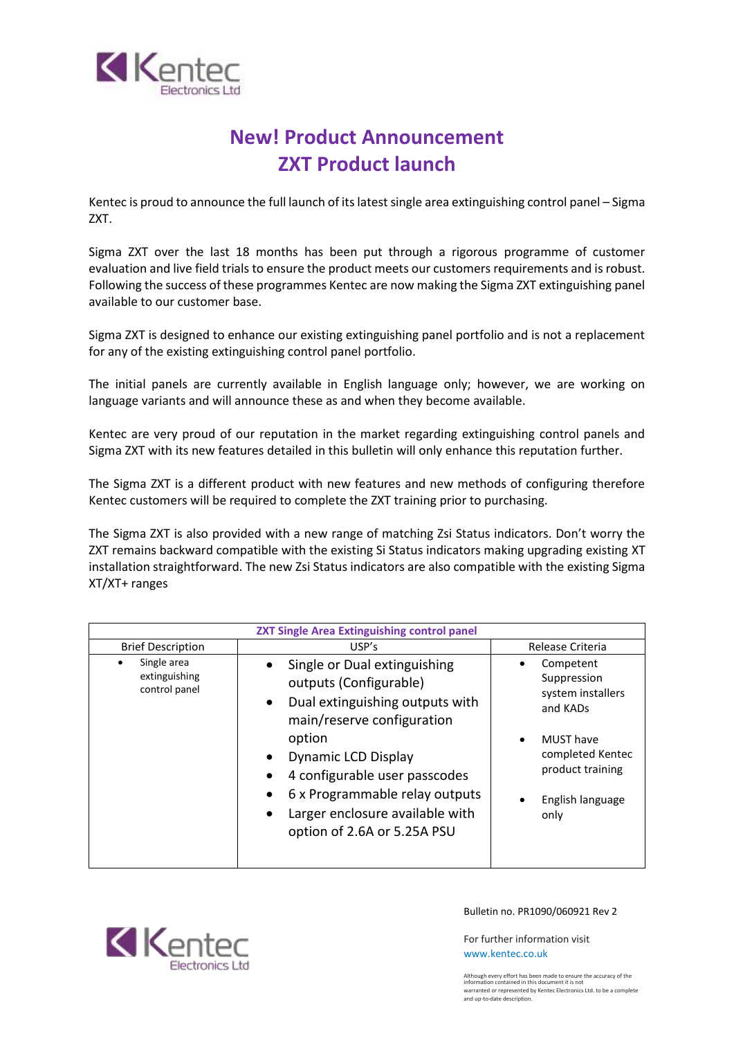

# **New! Product Announcement ZXT Product launch**

Kentec is proud to announce the full launch of its latest single area extinguishing control panel – Sigma ZXT.

Sigma ZXT over the last 18 months has been put through a rigorous programme of customer evaluation and live field trials to ensure the product meets our customers requirements and is robust. Following the success of these programmes Kentec are now making the Sigma ZXT extinguishing panel available to our customer base.

Sigma ZXT is designed to enhance our existing extinguishing panel portfolio and is not a replacement for any of the existing extinguishing control panel portfolio.

The initial panels are currently available in English language only; however, we are working on language variants and will announce these as and when they become available.

Kentec are very proud of our reputation in the market regarding extinguishing control panels and Sigma ZXT with its new features detailed in this bulletin will only enhance this reputation further.

The Sigma ZXT is a different product with new features and new methods of configuring therefore Kentec customers will be required to complete the ZXT training prior to purchasing.

The Sigma ZXT is also provided with a new range of matching Zsi Status indicators. Don't worry the ZXT remains backward compatible with the existing Si Status indicators making upgrading existing XT installation straightforward. The new Zsi Status indicators are also compatible with the existing Sigma XT/XT+ ranges

| <b>ZXT Single Area Extinguishing control panel</b> |                                                                                                                                                                                                                                                                                                                                                                |                                                                                                                                                   |
|----------------------------------------------------|----------------------------------------------------------------------------------------------------------------------------------------------------------------------------------------------------------------------------------------------------------------------------------------------------------------------------------------------------------------|---------------------------------------------------------------------------------------------------------------------------------------------------|
| <b>Brief Description</b>                           | USP's                                                                                                                                                                                                                                                                                                                                                          | Release Criteria                                                                                                                                  |
| Single area<br>٠<br>extinguishing<br>control panel | Single or Dual extinguishing<br>outputs (Configurable)<br>Dual extinguishing outputs with<br>$\bullet$<br>main/reserve configuration<br>option<br>Dynamic LCD Display<br>$\bullet$<br>4 configurable user passcodes<br>$\bullet$<br>6 x Programmable relay outputs<br>$\bullet$<br>Larger enclosure available with<br>$\bullet$<br>option of 2.6A or 5.25A PSU | Competent<br>Suppression<br>system installers<br>and KADs<br><b>MUST</b> have<br>completed Kentec<br>product training<br>English language<br>only |



Bulletin no. PR1090/060921 Rev 2

For further information visit [www.kentec.co.uk](http://www.kentec.co.uk/)

Although every effort has been made to ensure the accuracy of the information contained in this document it is not warranted or represented by Kentec Electronics Ltd. to be a complete and up-to-date description.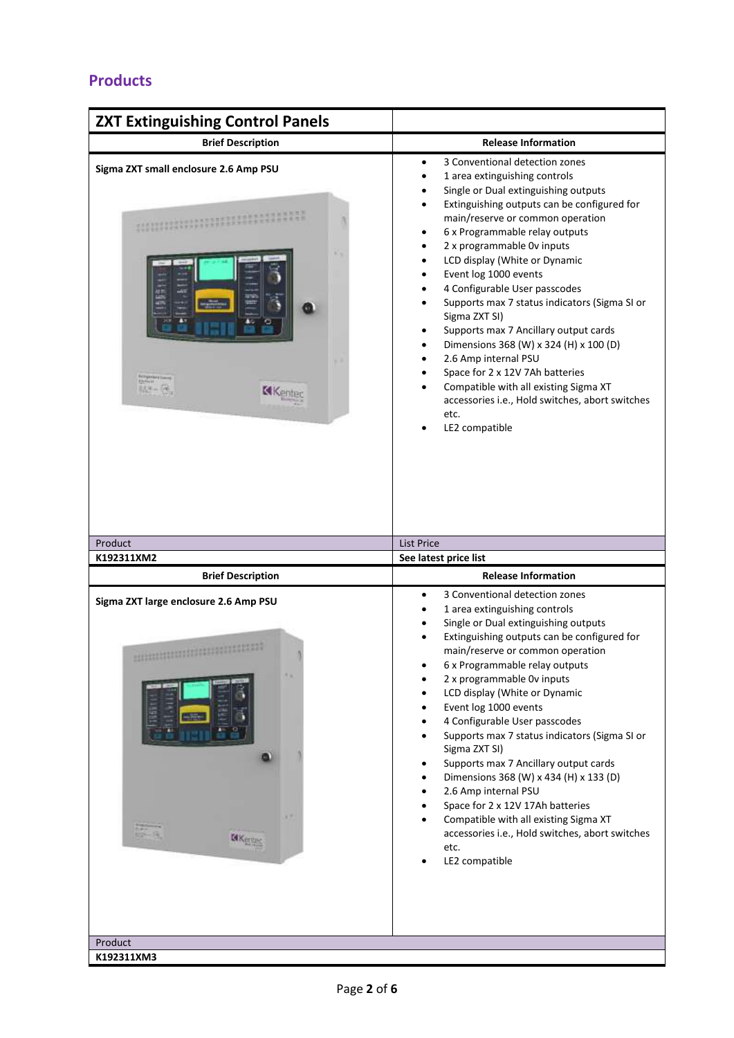### **Products**

| <b>ZXT Extinguishing Control Panels</b>                  |                                                                                                                                                                                                                                                                                                                                                                                                                                                                                                                                                                                                                                                                                                                                                                                                                                                                                   |
|----------------------------------------------------------|-----------------------------------------------------------------------------------------------------------------------------------------------------------------------------------------------------------------------------------------------------------------------------------------------------------------------------------------------------------------------------------------------------------------------------------------------------------------------------------------------------------------------------------------------------------------------------------------------------------------------------------------------------------------------------------------------------------------------------------------------------------------------------------------------------------------------------------------------------------------------------------|
| <b>Brief Description</b>                                 | <b>Release Information</b>                                                                                                                                                                                                                                                                                                                                                                                                                                                                                                                                                                                                                                                                                                                                                                                                                                                        |
| Sigma ZXT small enclosure 2.6 Amp PSU<br>取モード<br>KKenter | 3 Conventional detection zones<br>$\bullet$<br>1 area extinguishing controls<br>$\bullet$<br>Single or Dual extinguishing outputs<br>$\bullet$<br>Extinguishing outputs can be configured for<br>$\bullet$<br>main/reserve or common operation<br>6 x Programmable relay outputs<br>$\bullet$<br>2 x programmable 0v inputs<br>$\bullet$<br>LCD display (White or Dynamic<br>$\bullet$<br>Event log 1000 events<br>$\bullet$<br>4 Configurable User passcodes<br>$\bullet$<br>Supports max 7 status indicators (Sigma SI or<br>$\bullet$<br>Sigma ZXT SI)<br>Supports max 7 Ancillary output cards<br>$\bullet$<br>Dimensions 368 (W) x 324 (H) x 100 (D)<br>$\bullet$<br>2.6 Amp internal PSU<br>$\bullet$<br>Space for 2 x 12V 7Ah batteries<br>$\bullet$<br>Compatible with all existing Sigma XT<br>accessories i.e., Hold switches, abort switches<br>etc.<br>LE2 compatible |
| Product<br>K192311XM2                                    | <b>List Price</b><br>See latest price list                                                                                                                                                                                                                                                                                                                                                                                                                                                                                                                                                                                                                                                                                                                                                                                                                                        |
| <b>Brief Description</b>                                 | <b>Release Information</b>                                                                                                                                                                                                                                                                                                                                                                                                                                                                                                                                                                                                                                                                                                                                                                                                                                                        |
| Sigma ZXT large enclosure 2.6 Amp PSU                    | 3 Conventional detection zones<br>$\bullet$<br>1 area extinguishing controls<br>Single or Dual extinguishing outputs<br>$\bullet$<br>Extinguishing outputs can be configured for                                                                                                                                                                                                                                                                                                                                                                                                                                                                                                                                                                                                                                                                                                  |
| <b>IAKerang</b>                                          | main/reserve or common operation<br>6 x Programmable relay outputs<br>2 x programmable Ov inputs<br>LCD display (White or Dynamic<br>Event log 1000 events<br>$\bullet$<br>4 Configurable User passcodes<br>Supports max 7 status indicators (Sigma SI or<br>$\bullet$<br>Sigma ZXT SI)<br>Supports max 7 Ancillary output cards<br>٠<br>Dimensions 368 (W) x 434 (H) x 133 (D)<br>$\bullet$<br>2.6 Amp internal PSU<br>$\bullet$<br>Space for 2 x 12V 17Ah batteries<br>$\bullet$<br>Compatible with all existing Sigma XT<br>$\bullet$<br>accessories i.e., Hold switches, abort switches<br>etc.<br>LE2 compatible                                                                                                                                                                                                                                                             |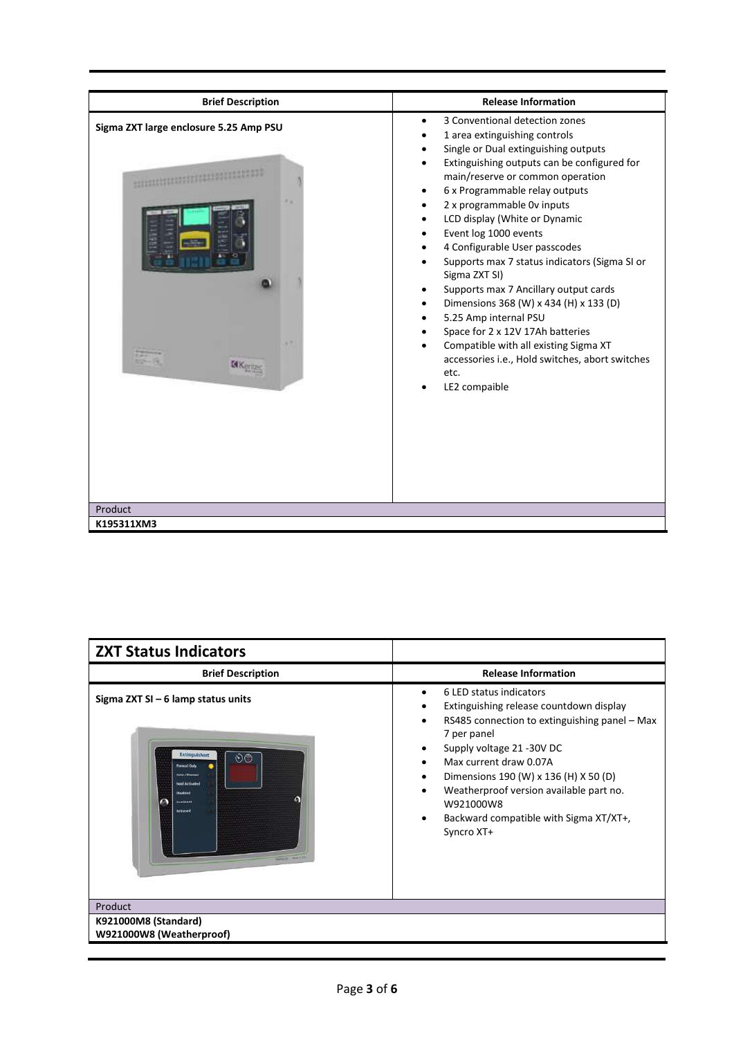| <b>Brief Description</b>                                                     | <b>Release Information</b>                                                                                                                                                                                                                                                                                                                                                                                                                                                                                                                                                                                                                                                                                                                    |
|------------------------------------------------------------------------------|-----------------------------------------------------------------------------------------------------------------------------------------------------------------------------------------------------------------------------------------------------------------------------------------------------------------------------------------------------------------------------------------------------------------------------------------------------------------------------------------------------------------------------------------------------------------------------------------------------------------------------------------------------------------------------------------------------------------------------------------------|
| Sigma ZXT large enclosure 5.25 Amp PSU<br><b>GK</b> <sub>HT</sub><br>Product | 3 Conventional detection zones<br>1 area extinguishing controls<br>Single or Dual extinguishing outputs<br>Extinguishing outputs can be configured for<br>main/reserve or common operation<br>6 x Programmable relay outputs<br>$\bullet$<br>2 x programmable 0v inputs<br>LCD display (White or Dynamic<br>Event log 1000 events<br>$\bullet$<br>4 Configurable User passcodes<br>Supports max 7 status indicators (Sigma SI or<br>Sigma ZXT SI)<br>Supports max 7 Ancillary output cards<br>٠<br>Dimensions 368 (W) x 434 (H) x 133 (D)<br>$\bullet$<br>5.25 Amp internal PSU<br>٠<br>Space for 2 x 12V 17Ah batteries<br>Compatible with all existing Sigma XT<br>accessories i.e., Hold switches, abort switches<br>etc.<br>LE2 compaible |
| K195311XM3                                                                   |                                                                                                                                                                                                                                                                                                                                                                                                                                                                                                                                                                                                                                                                                                                                               |

| <b>ZXT Status Indicators</b>                                                                                                                                                                                  |                                                                                                                                                                                                                                                                                                                                                                           |
|---------------------------------------------------------------------------------------------------------------------------------------------------------------------------------------------------------------|---------------------------------------------------------------------------------------------------------------------------------------------------------------------------------------------------------------------------------------------------------------------------------------------------------------------------------------------------------------------------|
| <b>Brief Description</b>                                                                                                                                                                                      | <b>Release Information</b>                                                                                                                                                                                                                                                                                                                                                |
| Sigma ZXT SI $-6$ lamp status units<br>Extinguishant<br>ಲಿಠಿ<br><b>Manual Orde</b><br><b>North / Shonesal</b><br><b>Hold Artistates</b><br>Disabled<br><b>Insertment</b><br>Retrused<br><b>MARINE MARINEZ</b> | 6 LED status indicators<br>$\bullet$<br>Extinguishing release countdown display<br>RS485 connection to extinguishing panel - Max<br>7 per panel<br>Supply voltage 21 -30V DC<br>Max current draw 0.07A<br>Dimensions 190 (W) x 136 (H) X 50 (D)<br>٠<br>Weatherproof version available part no.<br>W921000W8<br>Backward compatible with Sigma XT/XT+,<br>٠<br>Syncro XT+ |
| Product                                                                                                                                                                                                       |                                                                                                                                                                                                                                                                                                                                                                           |
| <b>K921000M8 (Standard)</b><br>W921000W8 (Weatherproof)                                                                                                                                                       |                                                                                                                                                                                                                                                                                                                                                                           |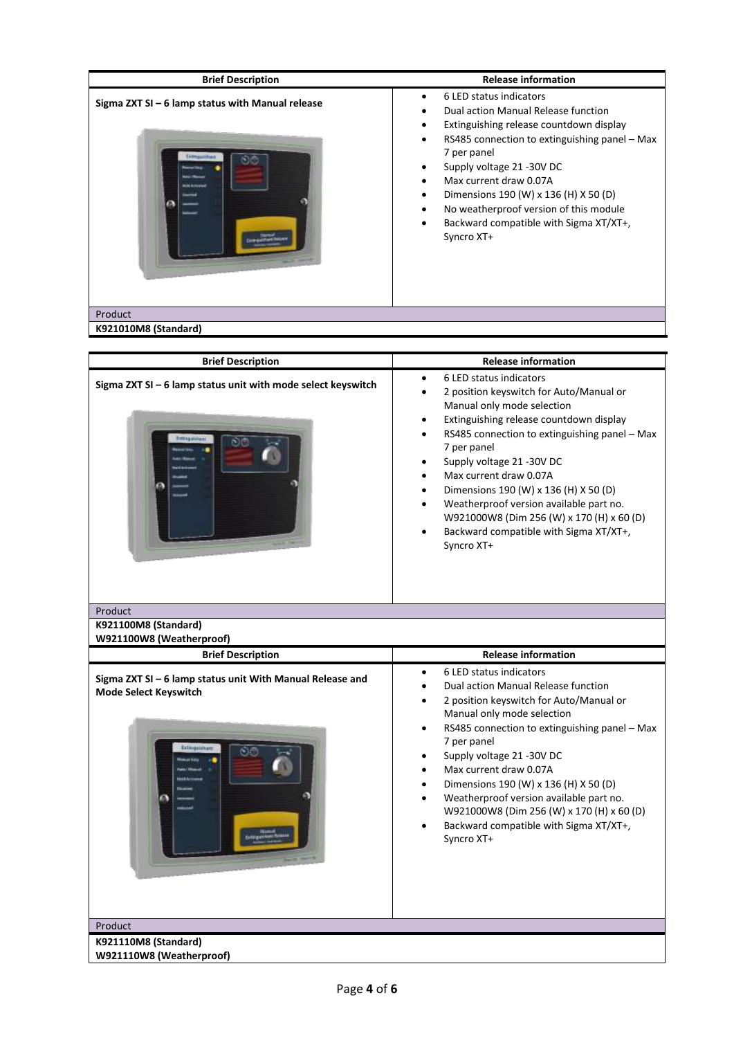| <b>Brief Description</b>                           | <b>Release information</b>                                                                                                                                                                                                                                                                                                                                                                                                                                |
|----------------------------------------------------|-----------------------------------------------------------------------------------------------------------------------------------------------------------------------------------------------------------------------------------------------------------------------------------------------------------------------------------------------------------------------------------------------------------------------------------------------------------|
| Sigma $2XT$ SI - 6 lamp status with Manual release | 6 LED status indicators<br>$\bullet$<br>Dual action Manual Release function<br>Extinguishing release countdown display<br>$\bullet$<br>RS485 connection to extinguishing panel - Max<br>$\bullet$<br>7 per panel<br>Supply voltage 21 -30V DC<br>Max current draw 0.07A<br>Dimensions 190 (W) x 136 (H) X 50 (D)<br>$\bullet$<br>No weatherproof version of this module<br>$\bullet$<br>Backward compatible with Sigma XT/XT+,<br>$\bullet$<br>Syncro XT+ |
| Product<br>K921010M8 (Standard)                    |                                                                                                                                                                                                                                                                                                                                                                                                                                                           |

| <b>Brief Description</b>                                                                  | <b>Release information</b>                                                                                                                                                                                                                                                                                                                                                                                                                                                                                                                                                       |
|-------------------------------------------------------------------------------------------|----------------------------------------------------------------------------------------------------------------------------------------------------------------------------------------------------------------------------------------------------------------------------------------------------------------------------------------------------------------------------------------------------------------------------------------------------------------------------------------------------------------------------------------------------------------------------------|
| Sigma ZXT SI - 6 lamp status unit with mode select keyswitch                              | 6 LED status indicators<br>$\bullet$<br>2 position keyswitch for Auto/Manual or<br>$\bullet$<br>Manual only mode selection<br>Extinguishing release countdown display<br>$\bullet$<br>RS485 connection to extinguishing panel - Max<br>$\bullet$<br>7 per panel<br>Supply voltage 21 -30V DC<br>$\bullet$<br>Max current draw 0.07A<br>$\bullet$<br>Dimensions 190 (W) x 136 (H) X 50 (D)<br>$\bullet$<br>Weatherproof version available part no.<br>$\bullet$<br>W921000W8 (Dim 256 (W) x 170 (H) x 60 (D)<br>Backward compatible with Sigma XT/XT+,<br>$\bullet$<br>Syncro XT+ |
| Product                                                                                   |                                                                                                                                                                                                                                                                                                                                                                                                                                                                                                                                                                                  |
| K921100M8 (Standard)<br>W921100W8 (Weatherproof)                                          |                                                                                                                                                                                                                                                                                                                                                                                                                                                                                                                                                                                  |
| <b>Brief Description</b>                                                                  | <b>Release information</b>                                                                                                                                                                                                                                                                                                                                                                                                                                                                                                                                                       |
| Sigma ZXT SI - 6 lamp status unit With Manual Release and<br><b>Mode Select Keyswitch</b> | 6 LED status indicators<br>$\bullet$<br>Dual action Manual Release function<br>$\bullet$<br>2 position keyswitch for Auto/Manual or<br>$\bullet$<br>Manual only mode selection<br>RS485 connection to extinguishing panel - Max<br>$\bullet$<br>7 per panel<br>Supply voltage 21 -30V DC<br>$\bullet$<br>Max current draw 0.07A<br>$\bullet$<br>Dimensions 190 (W) x 136 (H) X 50 (D)<br>$\bullet$<br>Weatherproof version available part no.<br>$\bullet$<br>W921000W8 (Dim 256 (W) x 170 (H) x 60 (D)<br>Backward compatible with Sigma XT/XT+,<br>Syncro XT+                  |
| Product                                                                                   |                                                                                                                                                                                                                                                                                                                                                                                                                                                                                                                                                                                  |
| K921110M8 (Standard)<br>W921110W8 (Weatherproof)                                          |                                                                                                                                                                                                                                                                                                                                                                                                                                                                                                                                                                                  |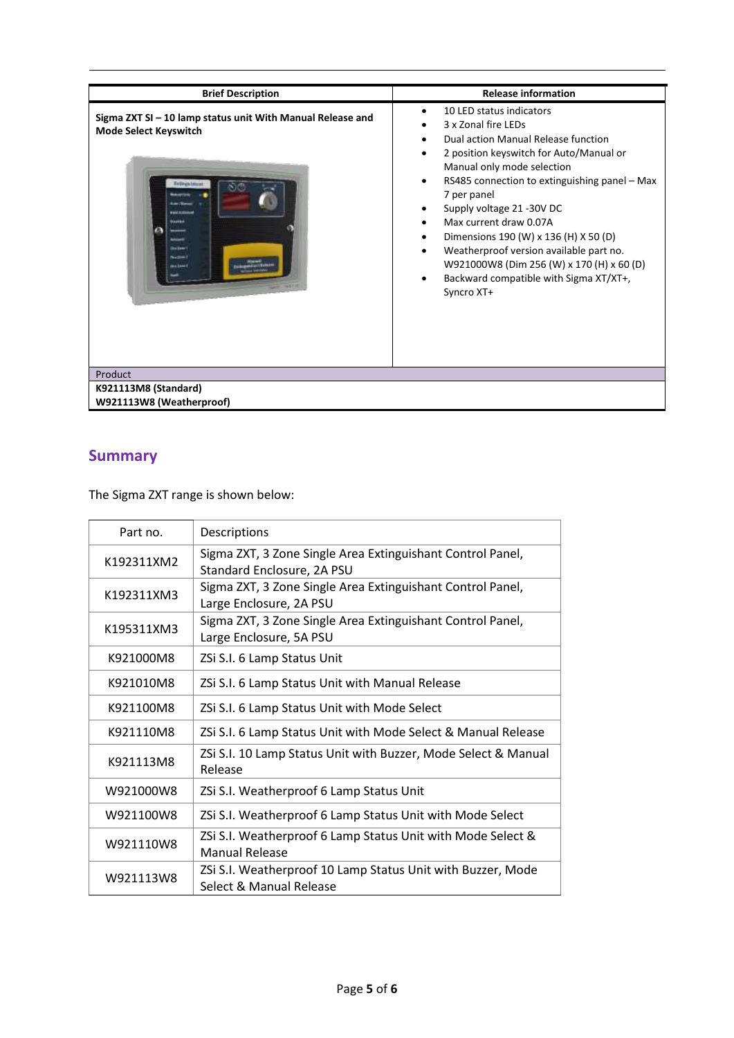| <b>Brief Description</b>                                                                                                                                                                         | <b>Release information</b>                                                                                                                                                                                                                                                                                                                                                                                                                                                                                                                                         |
|--------------------------------------------------------------------------------------------------------------------------------------------------------------------------------------------------|--------------------------------------------------------------------------------------------------------------------------------------------------------------------------------------------------------------------------------------------------------------------------------------------------------------------------------------------------------------------------------------------------------------------------------------------------------------------------------------------------------------------------------------------------------------------|
| Sigma ZXT SI - 10 lamp status unit With Manual Release and<br><b>Mode Select Keyswitch</b><br><b><i>CALL IS START</i></b><br><b>Nazisia</b><br><b>Good Sprint</b><br><b>Nyction</b><br>ma i smit | 10 LED status indicators<br>3 x Zonal fire LEDs<br>Dual action Manual Release function<br>$\bullet$<br>2 position keyswitch for Auto/Manual or<br>$\bullet$<br>Manual only mode selection<br>RS485 connection to extinguishing panel - Max<br>$\bullet$<br>7 per panel<br>Supply voltage 21 -30V DC<br>Max current draw 0.07A<br>$\bullet$<br>Dimensions 190 (W) x 136 (H) X 50 (D)<br>$\bullet$<br>Weatherproof version available part no.<br>$\bullet$<br>W921000W8 (Dim 256 (W) x 170 (H) x 60 (D)<br>Backward compatible with Sigma XT/XT+,<br>٠<br>Syncro XT+ |
| Product<br>K921113M8 (Standard)                                                                                                                                                                  |                                                                                                                                                                                                                                                                                                                                                                                                                                                                                                                                                                    |
| W921113W8 (Weatherproof)                                                                                                                                                                         |                                                                                                                                                                                                                                                                                                                                                                                                                                                                                                                                                                    |

### **Summary**

The Sigma ZXT range is shown below:

| Part no.   | Descriptions                                                                             |
|------------|------------------------------------------------------------------------------------------|
| K192311XM2 | Sigma ZXT, 3 Zone Single Area Extinguishant Control Panel,<br>Standard Enclosure, 2A PSU |
| K192311XM3 | Sigma ZXT, 3 Zone Single Area Extinguishant Control Panel,<br>Large Enclosure, 2A PSU    |
| K195311XM3 | Sigma ZXT, 3 Zone Single Area Extinguishant Control Panel,<br>Large Enclosure, 5A PSU    |
| K921000M8  | ZSi S.I. 6 Lamp Status Unit                                                              |
| K921010M8  | ZSi S.I. 6 Lamp Status Unit with Manual Release                                          |
| K921100M8  | ZSi S.I. 6 Lamp Status Unit with Mode Select                                             |
| K921110M8  | ZSi S.I. 6 Lamp Status Unit with Mode Select & Manual Release                            |
| K921113M8  | ZSi S.I. 10 Lamp Status Unit with Buzzer, Mode Select & Manual<br>Release                |
| W921000W8  | ZSi S.I. Weatherproof 6 Lamp Status Unit                                                 |
| W921100W8  | ZSi S.I. Weatherproof 6 Lamp Status Unit with Mode Select                                |
| W921110W8  | ZSi S.I. Weatherproof 6 Lamp Status Unit with Mode Select &<br><b>Manual Release</b>     |
| W921113W8  | ZSi S.I. Weatherproof 10 Lamp Status Unit with Buzzer, Mode<br>Select & Manual Release   |